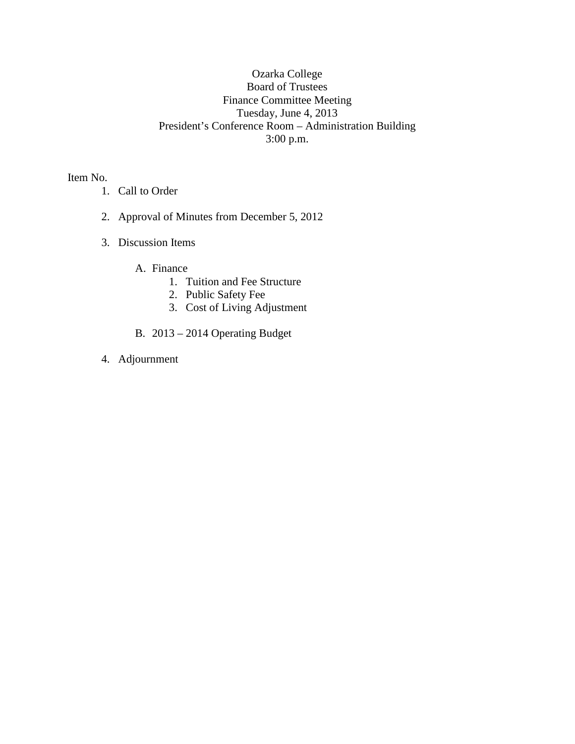## Ozarka College Board of Trustees Finance Committee Meeting Tuesday, June 4, 2013 President's Conference Room – Administration Building 3:00 p.m.

Item No.

- 1. Call to Order
- 2. Approval of Minutes from December 5, 2012
- 3. Discussion Items
	- A. Finance
		- 1. Tuition and Fee Structure
		- 2. Public Safety Fee
		- 3. Cost of Living Adjustment
	- B. 2013 2014 Operating Budget
- 4. Adjournment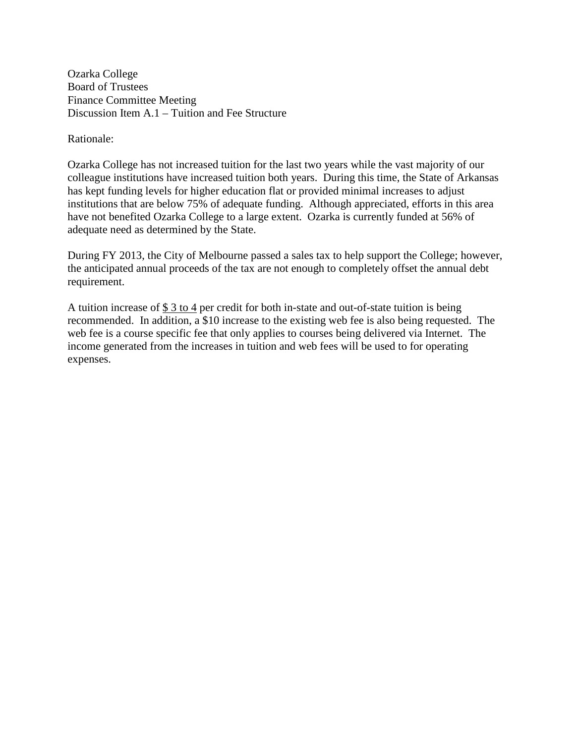Ozarka College Board of Trustees Finance Committee Meeting Discussion Item A.1 – Tuition and Fee Structure

Rationale:

Ozarka College has not increased tuition for the last two years while the vast majority of our colleague institutions have increased tuition both years. During this time, the State of Arkansas has kept funding levels for higher education flat or provided minimal increases to adjust institutions that are below 75% of adequate funding. Although appreciated, efforts in this area have not benefited Ozarka College to a large extent. Ozarka is currently funded at 56% of adequate need as determined by the State.

During FY 2013, the City of Melbourne passed a sales tax to help support the College; however, the anticipated annual proceeds of the tax are not enough to completely offset the annual debt requirement.

A tuition increase of  $$3$  to 4 per credit for both in-state and out-of-state tuition is being recommended. In addition, a \$10 increase to the existing web fee is also being requested. The web fee is a course specific fee that only applies to courses being delivered via Internet. The income generated from the increases in tuition and web fees will be used to for operating expenses.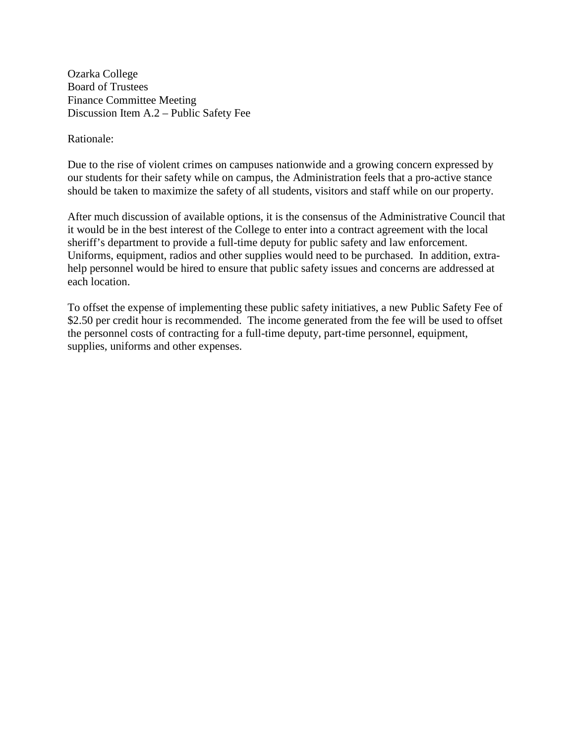Ozarka College Board of Trustees Finance Committee Meeting Discussion Item A.2 – Public Safety Fee

Rationale:

Due to the rise of violent crimes on campuses nationwide and a growing concern expressed by our students for their safety while on campus, the Administration feels that a pro-active stance should be taken to maximize the safety of all students, visitors and staff while on our property.

After much discussion of available options, it is the consensus of the Administrative Council that it would be in the best interest of the College to enter into a contract agreement with the local sheriff's department to provide a full-time deputy for public safety and law enforcement. Uniforms, equipment, radios and other supplies would need to be purchased. In addition, extrahelp personnel would be hired to ensure that public safety issues and concerns are addressed at each location.

To offset the expense of implementing these public safety initiatives, a new Public Safety Fee of \$2.50 per credit hour is recommended. The income generated from the fee will be used to offset the personnel costs of contracting for a full-time deputy, part-time personnel, equipment, supplies, uniforms and other expenses.